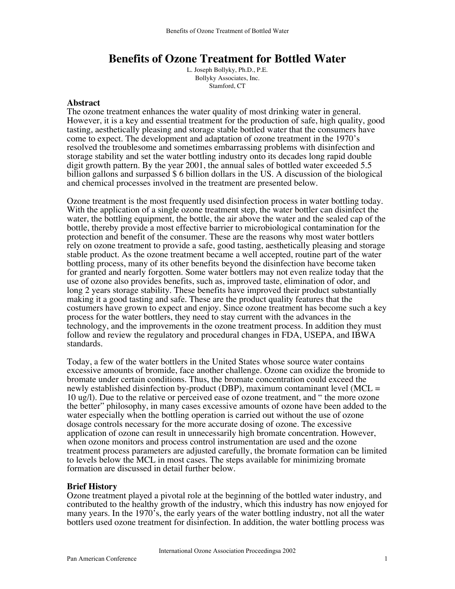# **Benefits of Ozone Treatment for Bottled Water**

L. Joseph Bollyky, Ph.D., P.E. Bollyky Associates, Inc. Stamford, CT

## **Abstract**

The ozone treatment enhances the water quality of most drinking water in general. However, it is a key and essential treatment for the production of safe, high quality, good tasting, aesthetically pleasing and storage stable bottled water that the consumers have come to expect. The development and adaptation of ozone treatment in the 1970's resolved the troublesome and sometimes embarrassing problems with disinfection and storage stability and set the water bottling industry onto its decades long rapid double digit growth pattern. By the year 2001, the annual sales of bottled water exceeded 5.5 billion gallons and surpassed \$ 6 billion dollars in the US. A discussion of the biological and chemical processes involved in the treatment are presented below.

Ozone treatment is the most frequently used disinfection process in water bottling today. With the application of a single ozone treatment step, the water bottler can disinfect the water, the bottling equipment, the bottle, the air above the water and the sealed cap of the bottle, thereby provide a most effective barrier to microbiological contamination for the protection and benefit of the consumer. These are the reasons why most water bottlers rely on ozone treatment to provide a safe, good tasting, aesthetically pleasing and storage stable product. As the ozone treatment became a well accepted, routine part of the water bottling process, many of its other benefits beyond the disinfection have become taken for granted and nearly forgotten. Some water bottlers may not even realize today that the use of ozone also provides benefits, such as, improved taste, elimination of odor, and long 2 years storage stability. These benefits have improved their product substantially making it a good tasting and safe. These are the product quality features that the costumers have grown to expect and enjoy. Since ozone treatment has become such a key process for the water bottlers, they need to stay current with the advances in the technology, and the improvements in the ozone treatment process. In addition they must follow and review the regulatory and procedural changes in FDA, USEPA, and IBWA standards.

Today, a few of the water bottlers in the United States whose source water contains excessive amounts of bromide, face another challenge. Ozone can oxidize the bromide to bromate under certain conditions. Thus, the bromate concentration could exceed the newly established disinfection by-product (DBP), maximum contaminant level ( $MCL =$ 10 ug/l). Due to the relative or perceived ease of ozone treatment, and " the more ozone the better" philosophy, in many cases excessive amounts of ozone have been added to the water especially when the bottling operation is carried out without the use of ozone dosage controls necessary for the more accurate dosing of ozone. The excessive application of ozone can result in unnecessarily high bromate concentration. However, when ozone monitors and process control instrumentation are used and the ozone treatment process parameters are adjusted carefully, the bromate formation can be limited to levels below the MCL in most cases. The steps available for minimizing bromate formation are discussed in detail further below.

# **Brief History**

Ozone treatment played a pivotal role at the beginning of the bottled water industry, and contributed to the healthy growth of the industry, which this industry has now enjoyed for many years. In the 1970's, the early years of the water bottling industry, not all the water bottlers used ozone treatment for disinfection. In addition, the water bottling process was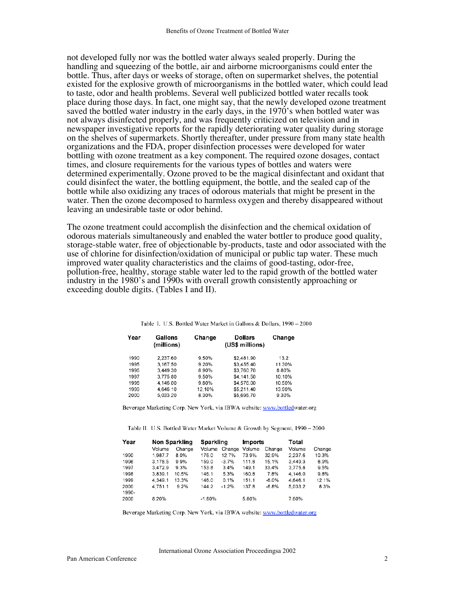not developed fully nor was the bottled water always sealed properly. During the handling and squeezing of the bottle, air and airborne microorganisms could enter the bottle. Thus, after days or weeks of storage, often on supermarket shelves, the potential existed for the explosive growth of microorganisms in the bottled water, which could lead to taste, odor and health problems. Several well publicized bottled water recalls took place during those days. In fact, one might say, that the newly developed ozone treatment saved the bottled water industry in the early days, in the 1970's when bottled water was not always disinfected properly, and was frequently criticized on television and in newspaper investigative reports for the rapidly deteriorating water quality during storage on the shelves of supermarkets. Shortly thereafter, under pressure from many state health organizations and the FDA, proper disinfection processes were developed for water bottling with ozone treatment as a key component. The required ozone dosages, contact times, and closure requirements for the various types of bottles and waters were determined experimentally. Ozone proved to be the magical disinfectant and oxidant that could disinfect the water, the bottling equipment, the bottle, and the sealed cap of the bottle while also oxidizing any traces of odorous materials that might be present in the water. Then the ozone decomposed to harmless oxygen and thereby disappeared without leaving an undesirable taste or odor behind.

The ozone treatment could accomplish the disinfection and the chemical oxidation of odorous materials simultaneously and enabled the water bottler to produce good quality, storage-stable water, free of objectionable by-products, taste and odor associated with the use of chlorine for disinfection/oxidation of municipal or public tap water. These much improved water quality characteristics and the claims of good-tasting, odor-free, pollution-free, healthy, storage stable water led to the rapid growth of the bottled water industry in the 1980's and 1990s with overall growth consistently approaching or exceeding double digits. (Tables I and II).

| Year | Gallons<br>(millions) | Change | <b>Dollars</b><br>(US\$ millions) | Change |
|------|-----------------------|--------|-----------------------------------|--------|
| 1990 | 2.237.60              | 9.50%  | \$2,481.90                        | 13.2   |
| 1995 | 3.167.50              | 9.20%  | \$3,455.40                        | 11.30% |
| 1996 | 3.449.30              | 8.90%  | \$3,760.70                        | 8.80%  |
| 1997 | 3.775.80              | 9.50%  | \$4,141.50                        | 10.10% |
| 1998 | 4.146.00              | 9.80%  | \$4,576.00                        | 10.50% |
| 1999 | 4.646.10              | 12.10% | \$5,211.40                        | 13.90% |
| 2000 | 5.033.20              | 8.30%  | \$5,695.70                        | 9.30%  |

Table I. U.S. Bottled Water Market in Gallons & Dollars, 1990 - 2000

Beverage Marketing Corp. New York, via IBWA website: www.bottledwater.org

Table II. U.S. Bottled Water Market Volume & Growth by Segment, 1990 - 2000

| Year  | Non Sparkling |        | Sparkling |         | <b>Imports</b> |         | Total   |        |
|-------|---------------|--------|-----------|---------|----------------|---------|---------|--------|
|       | Volume        | Change | Volume    | Change  | Volume         | Change  | Volume  | Change |
| 1990  | 1.987.7       | 8.0%   | 176.0     | 12.7%   | 73.9%          | 32.9%   | 2.237.6 | 10.3%  |
| 1996  | 3.178.5       | 9.9%   | 159.0     | $-3.7%$ | 111.8          | 15.1%   | 3.449.3 | 8.9%   |
| 1997  | 3.472.9       | 9.3%   | 153.8     | 3.4%    | 149.1          | 33.4%   | 3.775.8 | 9.5%   |
| 1998  | 3.839.1       | 10.5%  | 146.1     | 5.3%    | 160.8          | 7.8%    | 4.146.0 | 9.8%   |
| 1999  | 4.349.1       | 13.3%  | 146.0     | 0.1%    | 151.1          | $-6.0%$ | 4.646.1 | 12.1%  |
| 2000  | 4.751.1       | 9.2%   | 144.2     | $-1.2%$ | 137.8          | $-8.8%$ | 5.033.2 | 8.3%   |
| 1990- |               |        |           |         |                |         |         |        |
| 2000  | 8.20%         |        | $-1.80%$  |         | 5.80%          |         | 7.60%   |        |

Beverage Marketing Corp. New York, via IBWA website: www.bottledwater.org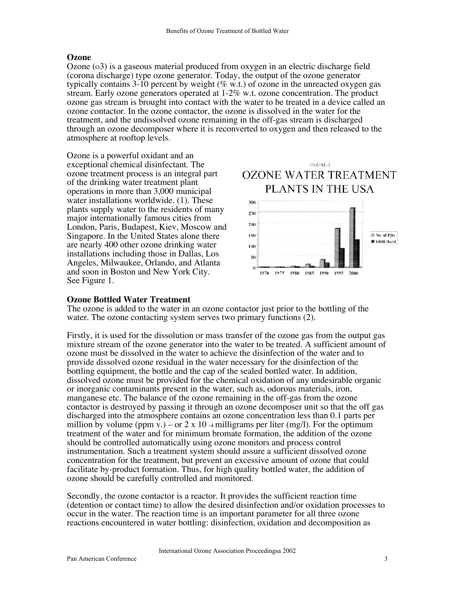# **Ozone**

Ozone (o3) is a gaseous material produced from oxygen in an electric discharge field (corona discharge) type ozone generator. Today, the output of the ozone generator typically contains 3-10 percent by weight ( $\%$  w.t.) of ozone in the unreacted oxygen gas stream. Early ozone generators operated at 1-2% w.t. ozone concentration. The product ozone gas stream is brought into contact with the water to be treated in a device called an ozone contactor. In the ozone contactor, the ozone is dissolved in the water for the treatment, and the undissolved ozone remaining in the off-gas stream is discharged through an ozone decomposer where it is reconverted to oxygen and then released to the atmosphere at rooftop levels.

Ozone is a powerful oxidant and an exceptional chemical disinfectant. The ozone treatment process is an integral part of the drinking water treatment plant operations in more than 3,000 municipal water installations worldwide. (1). These plants supply water to the residents of many major internationally famous cities from London, Paris, Budapest, Kiev, Moscow and Singapore. In the United States alone there are nearly 400 other ozone drinking water installations including those in Dallas, Los Angeles, Milwaukee, Orlando, and Atlanta and soon in Boston and New York City. See Figure 1.





# **Ozone Bottled Water Treatment**

The ozone is added to the water in an ozone contactor just prior to the bottling of the water. The ozone contacting system serves two primary functions (2).

Firstly, it is used for the dissolution or mass transfer of the ozone gas from the output gas mixture stream of the ozone generator into the water to be treated. A sufficient amount of ozone must be dissolved in the water to achieve the disinfection of the water and to provide dissolved ozone residual in the water necessary for the disinfection of the bottling equipment, the bottle and the cap of the sealed bottled water. In addition, dissolved ozone must be provided for the chemical oxidation of any undesirable organic or inorganic contaminants present in the water, such as, odorous materials, iron, manganese etc. The balance of the ozone remaining in the off-gas from the ozone contactor is destroyed by passing it through an ozone decomposer unit so that the off gas discharged into the atmosphere contains an ozone concentration less than 0.1 parts per million by volume (ppm v.) – or 2 x 10 -4 milligrams per liter (mg/l). For the optimum treatment of the water and for minimum bromate formation, the addition of the ozone should be controlled automatically using ozone monitors and process control instrumentation. Such a treatment system should assure a sufficient dissolved ozone concentration for the treatment, but prevent an excessive amount of ozone that could facilitate by-product formation. Thus, for high quality bottled water, the addition of ozone should be carefully controlled and monitored.

Secondly, the ozone contactor is a reactor. It provides the sufficient reaction time (detention or contact time) to allow the desired disinfection and/or oxidation processes to occur in the water. The reaction time is an important parameter for all three ozone reactions encountered in water bottling: disinfection, oxidation and decomposition as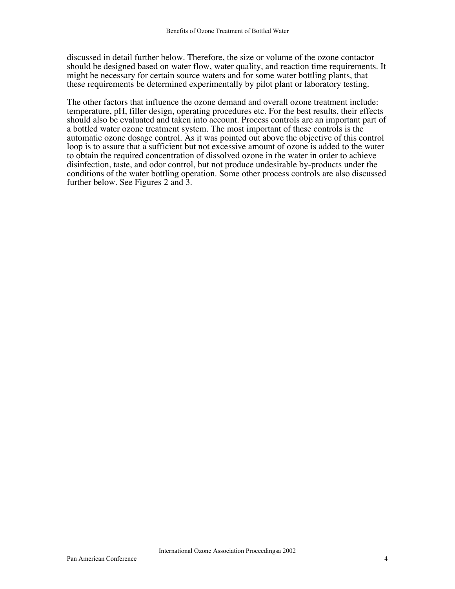discussed in detail further below. Therefore, the size or volume of the ozone contactor should be designed based on water flow, water quality, and reaction time requirements. It might be necessary for certain source waters and for some water bottling plants, that these requirements be determined experimentally by pilot plant or laboratory testing.

The other factors that influence the ozone demand and overall ozone treatment include: temperature, pH, filler design, operating procedures etc. For the best results, their effects should also be evaluated and taken into account. Process controls are an important part of a bottled water ozone treatment system. The most important of these controls is the automatic ozone dosage control. As it was pointed out above the objective of this control loop is to assure that a sufficient but not excessive amount of ozone is added to the water to obtain the required concentration of dissolved ozone in the water in order to achieve disinfection, taste, and odor control, but not produce undesirable by-products under the conditions of the water bottling operation. Some other process controls are also discussed further below. See Figures 2 and 3.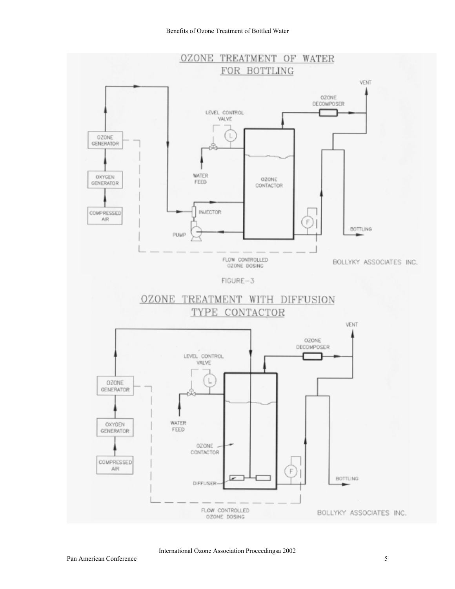

International Ozone Association Proceedingsa 2002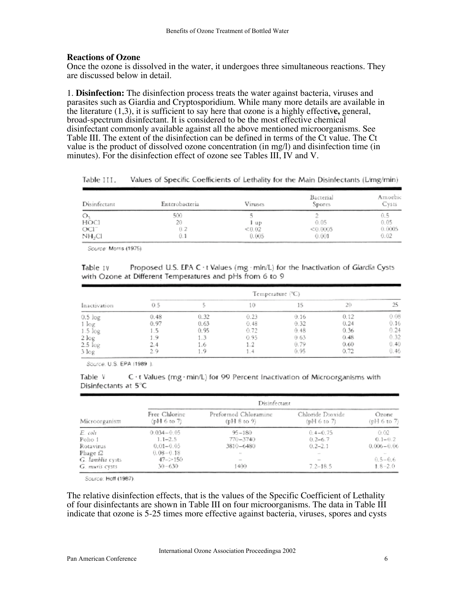## **Reactions of Ozone**

Once the ozone is dissolved in the water, it undergoes three simultaneous reactions. They are discussed below in detail.

1. **Disinfection:** The disinfection process treats the water against bacteria, viruses and parasites such as Giardia and Cryptosporidium. While many more details are available in the literature (1,3), it is sufficient to say here that ozone is a highly effectiv**e,** general, broad-spectrum disinfectant. It is considered to be the most effective chemical disinfectant commonly available against all the above mentioned microorganisms. See Table III. The extent of the disinfection can be defined in terms of the Ct value. The Ct value is the product of dissolved ozone concentration (in mg/l) and disinfection time (in minutes). For the disinfection effect of ozone see Tables III, IV and V.

| Disinfectant     | Enterobacteria | Viruses | Bacterial<br>Spores | Amoebic<br>Cysts |
|------------------|----------------|---------|---------------------|------------------|
| О,               | 500            |         |                     | U.S              |
| HOCI             | 20             | 1 up    | 0.05                | 0.05             |
| OCI <sup>-</sup> | 0.2            | < 0.02  | < 0.0005            | 0.0005           |
| NH.CI            |                | 0.005   | 0.001               | $_{0.02}$        |

Table III. Values of Specific Coefficients of Lethality for the Main Disinfectants (L/mg/min)

Source: Morris (1975).

Table IV Proposed U.S. EPA C · t Values (mg · min/L) for the Inactivation of Giardia Cysts with Ozone at Different Temperatures and pHs from 6 to 9

|              | Temperature (°C) |      |      |      |      |      |
|--------------|------------------|------|------|------|------|------|
| Inactivation | 0.5              |      | LO.  | 15   | 20   | 25   |
| $0.5$ $log$  | 0.48             | 0.32 | 0.23 | 0.16 | 0.12 | 0.08 |
| $1 \log$     | 0.97             | 0.63 | 0.48 | 0.32 | 0.24 | 0.16 |
| $1.5 \log$   | - 5              | 0.95 | 0.72 | 0.48 | 0.36 | 0.24 |
| 2 log        | -9               | 1.3  | 0.95 | 0.63 | 0.48 | 0.32 |
| $2.5 \log$   | 2.4              | 1.6  |      | 0.79 | 0.60 | 0.40 |
| 3 log        |                  | 1.9  | 1.4  | 0.95 | 0.72 | 0.46 |

Source, U.S. EPA (1989.).

| Table V              |  |  | C · t Values (mg · min/L) for 99 Percent Inactivation of Microorganisms with |  |
|----------------------|--|--|------------------------------------------------------------------------------|--|
| Disinfectants at 5°C |  |  |                                                                              |  |

|                      | Disinfectant                 |                                                                                                |                                 |                                                                                                |  |  |
|----------------------|------------------------------|------------------------------------------------------------------------------------------------|---------------------------------|------------------------------------------------------------------------------------------------|--|--|
| Microorganism        | Free Chlorine<br>(pH 6 to 7) | Preformed Chloramine<br>(pH 8 to 9)                                                            | Chloride Dioxide<br>(pH 6 to 7) | Ozone<br>(pH 6 to 7)                                                                           |  |  |
| E. coli              | $0.034 - 0.05$               | $95 - 180$                                                                                     | $0.4 - 0.75$                    | 0.02                                                                                           |  |  |
| Polio 1              | $1.1 - 2.5$                  | $770 - 3740$                                                                                   | $0.2 - 6.7$                     | $0.1 - 0.2$                                                                                    |  |  |
| Rotavirus            | $0.01 - 0.05$                | 3810-6480                                                                                      | $0.2 - 2.1$                     | $0.006 - 0.06$                                                                                 |  |  |
| Phage f <sub>2</sub> | $0.08 - 0.18$                | $\sim$                                                                                         | $\sim$                          | $\frac{1}{2} \left( \frac{1}{2} \right) \left( \frac{1}{2} \right) \left( \frac{1}{2} \right)$ |  |  |
| G. lamblia cysts     | $47 - > 150$                 | $\frac{1}{2} \left( \frac{1}{2} \right) \left( \frac{1}{2} \right) \left( \frac{1}{2} \right)$ | $\sim$                          | $0.5 - 0.6$                                                                                    |  |  |
| G. muris cysts       | $30 - 630$                   | 400                                                                                            | $7.2 - 18.5$                    | $1.8 - 2.0$                                                                                    |  |  |

Source: Hoff (1987).

The relative disinfection effects, that is the values of the Specific Coefficient of Lethality of four disinfectants are shown in Table III on four microorganisms. The data in Table III indicate that ozone is 5-25 times more effective against bacteria, viruses, spores and cysts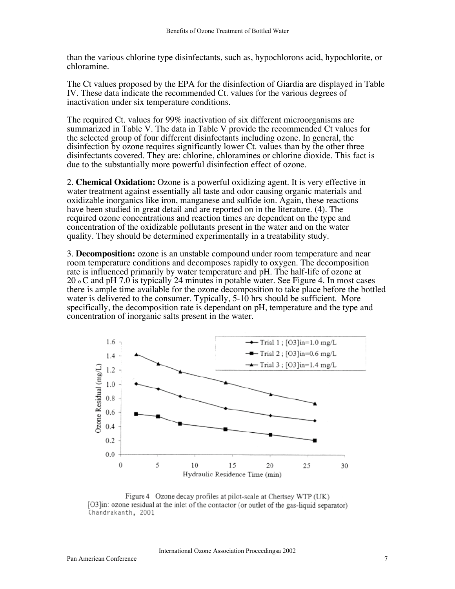than the various chlorine type disinfectants, such as, hypochlorons acid, hypochlorite, or chloramine.

The Ct values proposed by the EPA for the disinfection of Giardia are displayed in Table IV. These data indicate the recommended Ct. values for the various degrees of inactivation under six temperature conditions.

The required Ct. values for 99% inactivation of six different microorganisms are summarized in Table V. The data in Table V provide the recommended Ct values for the selected group of four different disinfectants including ozone. In general, the disinfection by ozone requires significantly lower Ct. values than by the other three disinfectants covered. They are: chlorine, chloramines or chlorine dioxide. This fact is due to the substantially more powerful disinfection effect of ozone.

2. **Chemical Oxidation:** Ozone is a powerful oxidizing agent. It is very effective in water treatment against essentially all taste and odor causing organic materials and oxidizable inorganics like iron, manganese and sulfide ion. Again, these reactions have been studied in great detail and are reported on in the literature. (4). The required ozone concentrations and reaction times are dependent on the type and concentration of the oxidizable pollutants present in the water and on the water quality. They should be determined experimentally in a treatability study.

3. **Decomposition:** ozone is an unstable compound under room temperature and near room temperature conditions and decomposes rapidly to oxygen. The decomposition rate is influenced primarily by water temperature and pH. The half-life of ozone at 20 o C and pH 7.0 is typically 24 minutes in potable water. See Figure 4. In most cases there is ample time available for the ozone decomposition to take place before the bottled water is delivered to the consumer. Typically, 5-10 hrs should be sufficient. More specifically, the decomposition rate is dependant on pH, temperature and the type and concentration of inorganic salts present in the water.



Figure 4 Ozone decay profiles at pilot-scale at Chertsey WTP (UK) [O3]in: ozone residual at the inlet of the contactor (or outlet of the gas-liquid separator) Chandrakanth, 2001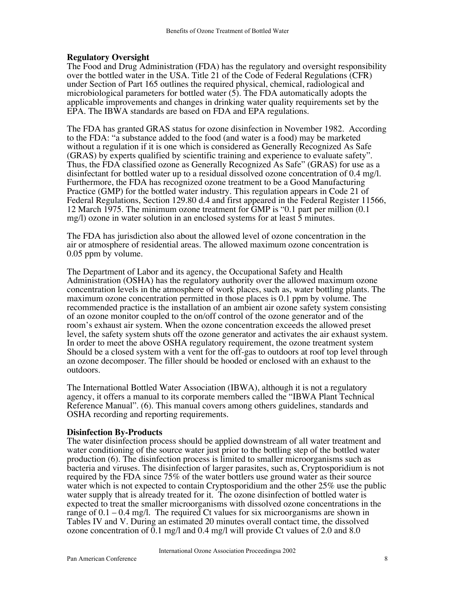# **Regulatory Oversight**

The Food and Drug Administration (FDA) has the regulatory and oversight responsibility over the bottled water in the USA. Title 21 of the Code of Federal Regulations (CFR) under Section of Part 165 outlines the required physical, chemical, radiological and microbiological parameters for bottled water (5). The FDA automatically adopts the applicable improvements and changes in drinking water quality requirements set by the EPA. The IBWA standards are based on FDA and EPA regulations.

The FDA has granted GRAS status for ozone disinfection in November 1982. According to the FDA: "a substance added to the food (and water is a food) may be marketed without a regulation if it is one which is considered as Generally Recognized As Safe (GRAS) by experts qualified by scientific training and experience to evaluate safety". Thus, the FDA classified ozone as Generally Recognized As Safe" (GRAS) for use as a disinfectant for bottled water up to a residual dissolved ozone concentration of 0.4 mg/l. Furthermore, the FDA has recognized ozone treatment to be a Good Manufacturing Practice (GMP) for the bottled water industry. This regulation appears in Code 21 of Federal Regulations, Section 129.80 d.4 and first appeared in the Federal Register 11566, 12 March 1975. The minimum ozone treatment for GMP is "0.1 part per million (0.1 mg/l) ozone in water solution in an enclosed systems for at least 5 minutes.

The FDA has jurisdiction also about the allowed level of ozone concentration in the air or atmosphere of residential areas. The allowed maximum ozone concentration is 0.05 ppm by volume.

The Department of Labor and its agency, the Occupational Safety and Health Administration (OSHA) has the regulatory authority over the allowed maximum ozone concentration levels in the atmosphere of work places, such as, water bottling plants. The maximum ozone concentration permitted in those places is 0.1 ppm by volume. The recommended practice is the installation of an ambient air ozone safety system consisting of an ozone monitor coupled to the on/off control of the ozone generator and of the room's exhaust air system. When the ozone concentration exceeds the allowed preset level, the safety system shuts off the ozone generator and activates the air exhaust system. In order to meet the above OSHA regulatory requirement, the ozone treatment system Should be a closed system with a vent for the off-gas to outdoors at roof top level through an ozone decomposer. The filler should be hooded or enclosed with an exhaust to the outdoors.

The International Bottled Water Association (IBWA), although it is not a regulatory agency, it offers a manual to its corporate members called the "IBWA Plant Technical Reference Manual". (6). This manual covers among others guidelines, standards and OSHA recording and reporting requirements.

# **Disinfection By-Products**

The water disinfection process should be applied downstream of all water treatment and water conditioning of the source water just prior to the bottling step of the bottled water production (6). The disinfection process is limited to smaller microorganisms such as bacteria and viruses. The disinfection of larger parasites, such as, Cryptosporidium is not required by the FDA since 75% of the water bottlers use ground water as their source water which is not expected to contain Cryptosporidium and the other 25% use the public water supply that is already treated for it. The ozone disinfection of bottled water is expected to treat the smaller microorganisms with dissolved ozone concentrations in the range of  $0.1 - 0.4$  mg/l. The required Ct values for six microorganisms are shown in Tables IV and V. During an estimated 20 minutes overall contact time, the dissolved ozone concentration of 0.1 mg/l and 0.4 mg/l will provide Ct values of 2.0 and 8.0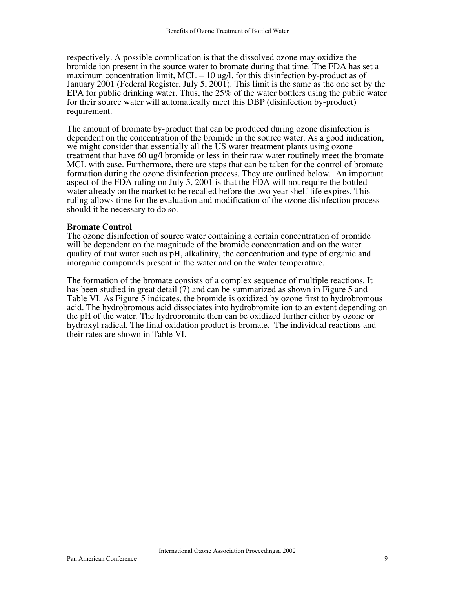respectively. A possible complication is that the dissolved ozone may oxidize the bromide ion present in the source water to bromate during that time. The FDA has set a maximum concentration limit,  $MCL = 10$  ug/l, for this disinfection by-product as of January 2001 (Federal Register, July 5, 2001). This limit is the same as the one set by the EPA for public drinking water. Thus, the 25% of the water bottlers using the public water for their source water will automatically meet this DBP (disinfection by-product) requirement.

The amount of bromate by-product that can be produced during ozone disinfection is dependent on the concentration of the bromide in the source water. As a good indication, we might consider that essentially all the US water treatment plants using ozone treatment that have 60 ug/l bromide or less in their raw water routinely meet the bromate MCL with ease. Furthermore, there are steps that can be taken for the control of bromate formation during the ozone disinfection process. They are outlined below. An important aspect of the FDA ruling on July 5, 2001 is that the FDA will not require the bottled water already on the market to be recalled before the two year shelf life expires. This ruling allows time for the evaluation and modification of the ozone disinfection process should it be necessary to do so.

# **Bromate Control**

The ozone disinfection of source water containing a certain concentration of bromide will be dependent on the magnitude of the bromide concentration and on the water quality of that water such as pH, alkalinity, the concentration and type of organic and inorganic compounds present in the water and on the water temperature.

The formation of the bromate consists of a complex sequence of multiple reactions. It has been studied in great detail (7) and can be summarized as shown in Figure 5 and Table VI. As Figure 5 indicates, the bromide is oxidized by ozone first to hydrobromous acid. The hydrobromous acid dissociates into hydrobromite ion to an extent depending on the pH of the water. The hydrobromite then can be oxidized further either by ozone or hydroxyl radical. The final oxidation product is bromate. The individual reactions and their rates are shown in Table VI.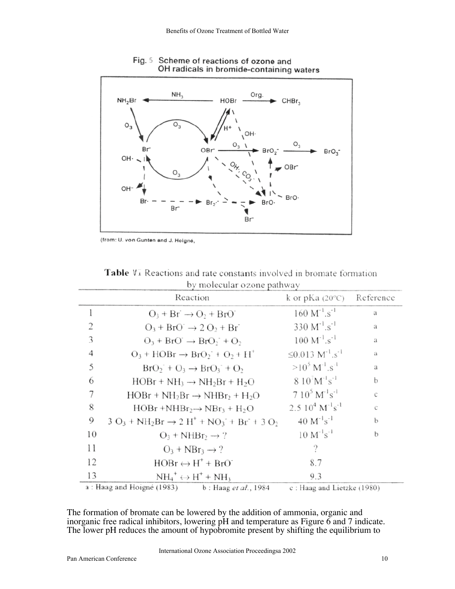

Fig. 5 Scheme of reactions of ozone and OH radicals in bromide-containing waters

(from: U. von Gunten and J. Heigné,

|    | by molecular ozone pathway                                                                 |                                         |           |  |  |  |  |
|----|--------------------------------------------------------------------------------------------|-----------------------------------------|-----------|--|--|--|--|
|    | Reaction                                                                                   | k or pKa $(20^{\circ}C)$                | Reference |  |  |  |  |
|    | $O_3 + Br \rightarrow O_2 + BrO$                                                           | $160 M^{-1}.s^{-1}$                     | a         |  |  |  |  |
| 2  | $O_3$ + BrO $\rightarrow$ 2 O <sub>2</sub> + Br                                            | $330 M^{1} . s^{1}$                     | a         |  |  |  |  |
| 3  | $O_3$ + BrO $\rightarrow$ BrO <sub>2</sub> + O <sub>2</sub>                                | $100 M^{-1}.s^{-1}$                     | a         |  |  |  |  |
| 4  | $O_3$ + HOBr $\rightarrow$ BrO <sub>2</sub> <sup>+</sup> + O <sub>2</sub> + H <sup>+</sup> | ≤0.013 $M^{-1}.s^{-1}$                  | a         |  |  |  |  |
| 5  | $BrO2 + O3 \rightarrow BrO3 + O2$                                                          | $>10^5$ M <sup>-1</sup> s <sup>-1</sup> | a         |  |  |  |  |
| 6  | $HOBr + NH_3 \rightarrow NH_2Br + H_2O$                                                    | $8.10^{7}M^{-1}s^{-1}$                  | b         |  |  |  |  |
| 7  | $HOBr + NH_2Br \rightarrow NHBr_2 + H_2O$                                                  | $7.10^5 M^{1} s^{-1}$                   | C         |  |  |  |  |
| 8  | $HOBr + NHBr_2 \rightarrow NBr_3 + H_2O$                                                   | $2.5\ 10^4\ M^{-1}s^{-1}$               | c         |  |  |  |  |
| 9  | $3 O_3 + NH_2Br \rightarrow 2 H^+ + NO_3^- + Br^+ + 3 O_2$                                 | $40 M^{-1} s^{-1}$                      | b         |  |  |  |  |
| 10 | $O_3 + NHBr_2 \rightarrow ?$                                                               | $10 M^{-1} s^{-1}$                      | b         |  |  |  |  |
| 11 | $Q_3 + NBr_3 \rightarrow ?$                                                                | ?                                       |           |  |  |  |  |
| 12 | $HOBr \leftrightarrow H^+ + BrO^+$                                                         | 8.7                                     |           |  |  |  |  |
| 13 | $NH_4^+ \leftrightarrow H^+ + NH_3$                                                        | 9.3                                     |           |  |  |  |  |
|    | a : Haag and Hoigné (1983)<br>b : Haag <i>et al.</i> , 1984                                | c: Haag and Lietzke (1980).             |           |  |  |  |  |

Table Vi Reactions and rate constants involved in bromate formation  $\ddot{\phantom{a}}$  $\cdot$ 

The formation of bromate can be lowered by the addition of ammonia, organic and inorganic free radical inhibitors, lowering  $p\dot{H}$  and temperature as Figure 6 and 7 indicate. The lower pH reduces the amount of hypobromite present by shifting the equilibrium to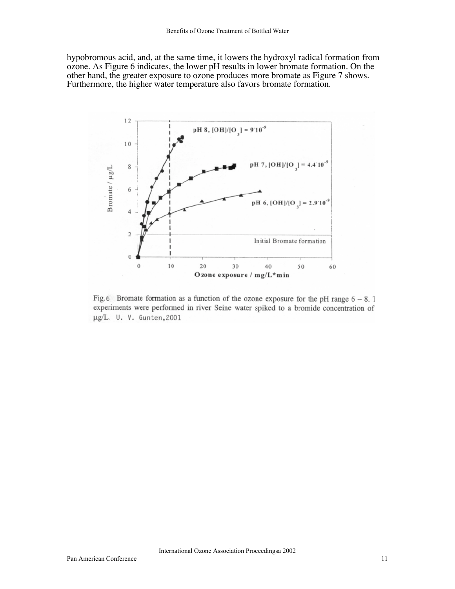hypobromous acid, and, at the same time, it lowers the hydroxyl radical formation from ozone. As Figure 6 indicates, the lower pH results in lower bromate formation. On the other hand, the greater exposure to ozone produces more bromate as Figure 7 shows. Furthermore, the higher water temperature also favors bromate formation.



Fig. 6 Bromate formation as a function of the ozone exposure for the pH range  $6 - 8$ . experiments were performed in river Seine water spiked to a bromide concentration of µg/L. U. V. Gunten, 2001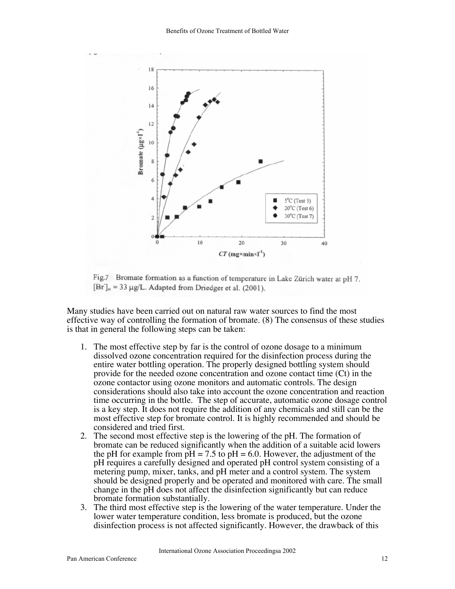

Fig.7 Bromate formation as a function of temperature in Lake Zürich water at pH 7.  $[Br]_0 = 33 \mu g/L$ . Adapted from Driedger et al. (2001).

Many studies have been carried out on natural raw water sources to find the most effective way of controlling the formation of bromate. (8) The consensus of these studies is that in general the following steps can be taken:

- 1. The most effective step by far is the control of ozone dosage to a minimum dissolved ozone concentration required for the disinfection process during the entire water bottling operation. The properly designed bottling system should provide for the needed ozone concentration and ozone contact time (Ct) in the ozone contactor using ozone monitors and automatic controls. The design considerations should also take into account the ozone concentration and reaction time occurring in the bottle. The step of accurate, automatic ozone dosage control is a key step. It does not require the addition of any chemicals and still can be the most effective step for bromate control. It is highly recommended and should be considered and tried first.
- 2. The second most effective step is the lowering of the pH. The formation of bromate can be reduced significantly when the addition of a suitable acid lowers the pH for example from  $pH = 7.5$  to  $pH = 6.0$ . However, the adjustment of the pH requires a carefully designed and operated pH control system consisting of a metering pump, mixer, tanks, and pH meter and a control system. The system should be designed properly and be operated and monitored with care. The small change in the pH does not affect the disinfection significantly but can reduce bromate formation substantially.
- 3. The third most effective step is the lowering of the water temperature. Under the lower water temperature condition, less bromate is produced, but the ozone disinfection process is not affected significantly. However, the drawback of this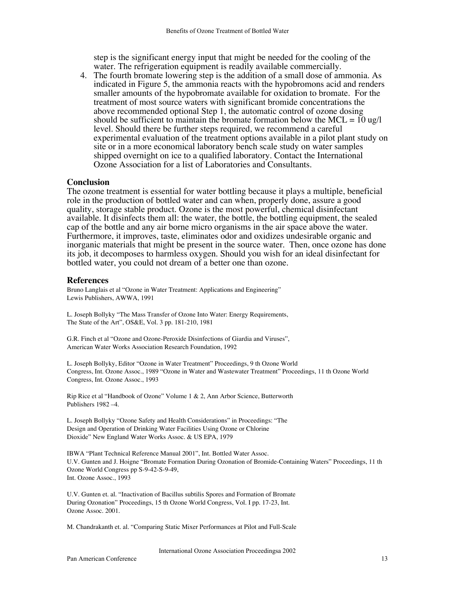step is the significant energy input that might be needed for the cooling of the water. The refrigeration equipment is readily available commercially.

4. The fourth bromate lowering step is the addition of a small dose of ammonia. As indicated in Figure 5, the ammonia reacts with the hypobromons acid and renders smaller amounts of the hypobromate available for oxidation to bromate. For the treatment of most source waters with significant bromide concentrations the above recommended optional Step 1, the automatic control of ozone dosing should be sufficient to maintain the bromate formation below the  $MCL = 10$  ug/l level. Should there be further steps required, we recommend a careful experimental evaluation of the treatment options available in a pilot plant study on site or in a more economical laboratory bench scale study on water samples shipped overnight on ice to a qualified laboratory. Contact the International Ozone Association for a list of Laboratories and Consultants.

### **Conclusion**

The ozone treatment is essential for water bottling because it plays a multiple, beneficial role in the production of bottled water and can when, properly done, assure a good quality, storage stable product. Ozone is the most powerful, chemical disinfectant available. It disinfects them all: the water, the bottle, the bottling equipment, the sealed cap of the bottle and any air borne micro organisms in the air space above the water. Furthermore, it improves, taste, eliminates odor and oxidizes undesirable organic and inorganic materials that might be present in the source water. Then, once ozone has done its job, it decomposes to harmless oxygen. Should you wish for an ideal disinfectant for bottled water, you could not dream of a better one than ozone.

#### **References**

Bruno Langlais et al "Ozone in Water Treatment: Applications and Engineering" Lewis Publishers, AWWA, 1991

L. Joseph Bollyky "The Mass Transfer of Ozone Into Water: Energy Requirements, The State of the Art", OS&E, Vol. 3 pp. 181-210, 1981

G.R. Finch et al "Ozone and Ozone-Peroxide Disinfections of Giardia and Viruses", American Water Works Association Research Foundation, 1992

L. Joseph Bollyky, Editor "Ozone in Water Treatment" Proceedings, 9 th Ozone World Congress, Int. Ozone Assoc., 1989 "Ozone in Water and Wastewater Treatment" Proceedings, 11 th Ozone World Congress, Int. Ozone Assoc., 1993

Rip Rice et al "Handbook of Ozone" Volume 1 & 2, Ann Arbor Science, Butterworth Publishers 1982 –4.

L. Joseph Bollyky "Ozone Safety and Health Considerations" in Proceedings: "The Design and Operation of Drinking Water Facilities Using Ozone or Chlorine Dioxide" New England Water Works Assoc. & US EPA, 1979

IBWA "Plant Technical Reference Manual 2001", Int. Bottled Water Assoc. U.V. Gunten and J. Hoigne "Bromate Formation During Ozonation of Bromide-Containing Waters" Proceedings, 11 th Ozone World Congress pp S-9-42-S-9-49, Int. Ozone Assoc., 1993

U.V. Gunten et. al. "Inactivation of Bacillus subtilis Spores and Formation of Bromate During Ozonation" Proceedings, 15 th Ozone World Congress, Vol. I pp. 17-23, Int. Ozone Assoc. 2001.

M. Chandrakanth et. al. "Comparing Static Mixer Performances at Pilot and Full-Scale